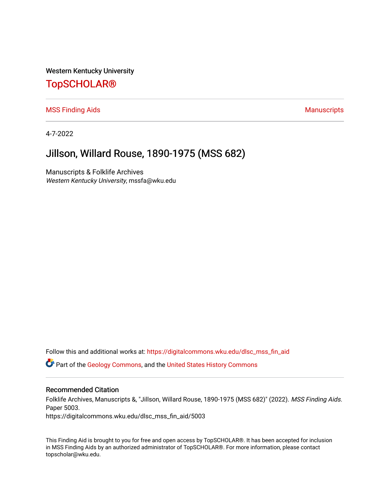Western Kentucky University

# [TopSCHOLAR®](https://digitalcommons.wku.edu/)

[MSS Finding Aids](https://digitalcommons.wku.edu/dlsc_mss_fin_aid) **Manuscripts** [Manuscripts](https://digitalcommons.wku.edu/dlsc_mss) **Manuscripts** 

4-7-2022

# Jillson, Willard Rouse, 1890-1975 (MSS 682)

Manuscripts & Folklife Archives Western Kentucky University, mssfa@wku.edu

Follow this and additional works at: [https://digitalcommons.wku.edu/dlsc\\_mss\\_fin\\_aid](https://digitalcommons.wku.edu/dlsc_mss_fin_aid?utm_source=digitalcommons.wku.edu%2Fdlsc_mss_fin_aid%2F5003&utm_medium=PDF&utm_campaign=PDFCoverPages) 

Part of the [Geology Commons](http://network.bepress.com/hgg/discipline/156?utm_source=digitalcommons.wku.edu%2Fdlsc_mss_fin_aid%2F5003&utm_medium=PDF&utm_campaign=PDFCoverPages), and the [United States History Commons](http://network.bepress.com/hgg/discipline/495?utm_source=digitalcommons.wku.edu%2Fdlsc_mss_fin_aid%2F5003&utm_medium=PDF&utm_campaign=PDFCoverPages)

#### Recommended Citation

Folklife Archives, Manuscripts &, "Jillson, Willard Rouse, 1890-1975 (MSS 682)" (2022). MSS Finding Aids. Paper 5003. https://digitalcommons.wku.edu/dlsc\_mss\_fin\_aid/5003

This Finding Aid is brought to you for free and open access by TopSCHOLAR®. It has been accepted for inclusion in MSS Finding Aids by an authorized administrator of TopSCHOLAR®. For more information, please contact topscholar@wku.edu.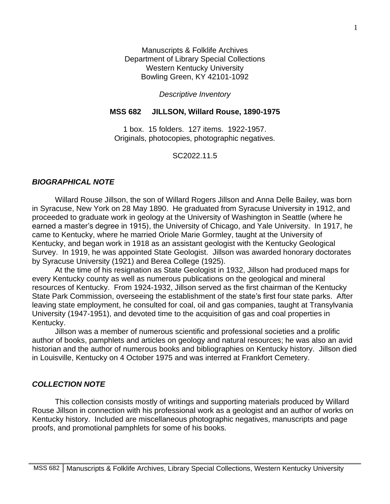Manuscripts & Folklife Archives Department of Library Special Collections Western Kentucky University Bowling Green, KY 42101-1092

## *Descriptive Inventory*

### **MSS 682 JILLSON, Willard Rouse, 1890-1975**

1 box. 15 folders. 127 items. 1922-1957. Originals, photocopies, photographic negatives.

### SC2022.11.5

### *BIOGRAPHICAL NOTE*

Willard Rouse Jillson, the son of Willard Rogers Jillson and Anna Delle Bailey, was born in Syracuse, New York on 28 May 1890. He graduated from Syracuse University in 1912, and proceeded to graduate work in geology at the University of Washington in Seattle (where he earned a master's degree in 1915), the University of Chicago, and Yale University. In 1917, he came to Kentucky, where he married Oriole Marie Gormley, taught at the University of Kentucky, and began work in 1918 as an assistant geologist with the Kentucky Geological Survey. In 1919, he was appointed State Geologist. Jillson was awarded honorary doctorates by Syracuse University (1921) and Berea College (1925).

At the time of his resignation as State Geologist in 1932, Jillson had produced maps for every Kentucky county as well as numerous publications on the geological and mineral resources of Kentucky. From 1924-1932, Jillson served as the first chairman of the Kentucky State Park Commission, overseeing the establishment of the state's first four state parks. After leaving state employment, he consulted for coal, oil and gas companies, taught at Transylvania University (1947-1951), and devoted time to the acquisition of gas and coal properties in Kentucky.

Jillson was a member of numerous scientific and professional societies and a prolific author of books, pamphlets and articles on geology and natural resources; he was also an avid historian and the author of numerous books and bibliographies on Kentucky history. Jillson died in Louisville, Kentucky on 4 October 1975 and was interred at Frankfort Cemetery.

#### *COLLECTION NOTE*

This collection consists mostly of writings and supporting materials produced by Willard Rouse Jillson in connection with his professional work as a geologist and an author of works on Kentucky history. Included are miscellaneous photographic negatives, manuscripts and page proofs, and promotional pamphlets for some of his books.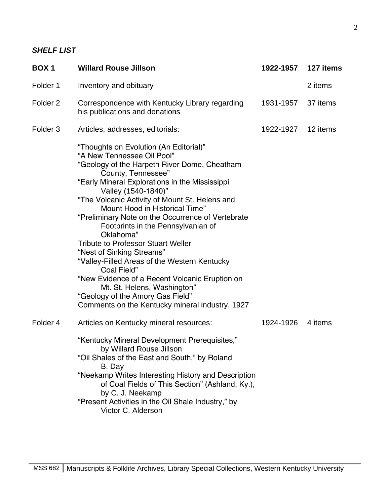## *SHELF LIST*

| <b>BOX1</b>         | <b>Willard Rouse Jillson</b>                                                                                                                                                                                                                                                                                                                                                                                                                                                                                                                                                                                                                                                                                                     | 1922-1957 | 127 items |
|---------------------|----------------------------------------------------------------------------------------------------------------------------------------------------------------------------------------------------------------------------------------------------------------------------------------------------------------------------------------------------------------------------------------------------------------------------------------------------------------------------------------------------------------------------------------------------------------------------------------------------------------------------------------------------------------------------------------------------------------------------------|-----------|-----------|
| Folder 1            | Inventory and obituary                                                                                                                                                                                                                                                                                                                                                                                                                                                                                                                                                                                                                                                                                                           |           | 2 items   |
| Folder <sub>2</sub> | Correspondence with Kentucky Library regarding<br>his publications and donations                                                                                                                                                                                                                                                                                                                                                                                                                                                                                                                                                                                                                                                 | 1931-1957 | 37 items  |
| Folder <sub>3</sub> | Articles, addresses, editorials:                                                                                                                                                                                                                                                                                                                                                                                                                                                                                                                                                                                                                                                                                                 | 1922-1927 | 12 items  |
|                     | "Thoughts on Evolution (An Editorial)"<br>"A New Tennessee Oil Pool"<br>"Geology of the Harpeth River Dome, Cheatham<br>County, Tennessee"<br>"Early Mineral Explorations in the Mississippi<br>Valley (1540-1840)"<br>"The Volcanic Activity of Mount St. Helens and<br>Mount Hood in Historical Time"<br>"Preliminary Note on the Occurrence of Vertebrate<br>Footprints in the Pennsylvanian of<br>Oklahoma"<br><b>Tribute to Professor Stuart Weller</b><br>"Nest of Sinking Streams"<br>"Valley-Filled Areas of the Western Kentucky<br>Coal Field"<br>"New Evidence of a Recent Volcanic Eruption on<br>Mt. St. Helens, Washington"<br>"Geology of the Amory Gas Field"<br>Comments on the Kentucky mineral industry, 1927 |           |           |
| Folder 4            | Articles on Kentucky mineral resources:                                                                                                                                                                                                                                                                                                                                                                                                                                                                                                                                                                                                                                                                                          | 1924-1926 | 4 items   |
|                     | "Kentucky Mineral Development Prerequisites,"<br>by Willard Rouse Jillson<br>"Oil Shales of the East and South," by Roland<br>B. Day<br>"Neekamp Writes Interesting History and Description<br>of Coal Fields of This Section" (Ashland, Ky.),<br>by C. J. Neekamp<br>"Present Activities in the Oil Shale Industry," by<br>Victor C. Alderson                                                                                                                                                                                                                                                                                                                                                                                   |           |           |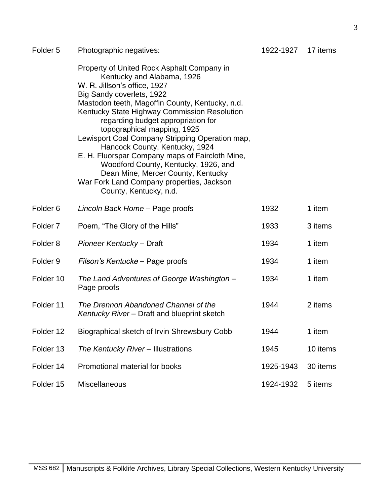| Folder <sub>5</sub> | Photographic negatives:                                                                                                                                                                                                                                                                                                                                                                                                                                                                                                                                                                                    | 1922-1927 | 17 items |
|---------------------|------------------------------------------------------------------------------------------------------------------------------------------------------------------------------------------------------------------------------------------------------------------------------------------------------------------------------------------------------------------------------------------------------------------------------------------------------------------------------------------------------------------------------------------------------------------------------------------------------------|-----------|----------|
|                     | Property of United Rock Asphalt Company in<br>Kentucky and Alabama, 1926<br>W. R. Jillson's office, 1927<br>Big Sandy coverlets, 1922<br>Mastodon teeth, Magoffin County, Kentucky, n.d.<br>Kentucky State Highway Commission Resolution<br>regarding budget appropriation for<br>topographical mapping, 1925<br>Lewisport Coal Company Stripping Operation map,<br>Hancock County, Kentucky, 1924<br>E. H. Fluorspar Company maps of Faircloth Mine,<br>Woodford County, Kentucky, 1926, and<br>Dean Mine, Mercer County, Kentucky<br>War Fork Land Company properties, Jackson<br>County, Kentucky, n.d. |           |          |
| Folder <sub>6</sub> | Lincoln Back Home - Page proofs                                                                                                                                                                                                                                                                                                                                                                                                                                                                                                                                                                            | 1932      | 1 item   |
| Folder <sub>7</sub> | Poem, "The Glory of the Hills"                                                                                                                                                                                                                                                                                                                                                                                                                                                                                                                                                                             | 1933      | 3 items  |
| Folder <sub>8</sub> | Pioneer Kentucky - Draft                                                                                                                                                                                                                                                                                                                                                                                                                                                                                                                                                                                   | 1934      | 1 item   |
| Folder <sub>9</sub> | Filson's Kentucke – Page proofs                                                                                                                                                                                                                                                                                                                                                                                                                                                                                                                                                                            | 1934      | 1 item   |
| Folder 10           | The Land Adventures of George Washington -<br>Page proofs                                                                                                                                                                                                                                                                                                                                                                                                                                                                                                                                                  | 1934      | 1 item   |
| Folder 11           | The Drennon Abandoned Channel of the<br>Kentucky River - Draft and blueprint sketch                                                                                                                                                                                                                                                                                                                                                                                                                                                                                                                        | 1944      | 2 items  |
| Folder 12           | Biographical sketch of Irvin Shrewsbury Cobb                                                                                                                                                                                                                                                                                                                                                                                                                                                                                                                                                               | 1944      | 1 item   |
| Folder 13           | The Kentucky River - Illustrations                                                                                                                                                                                                                                                                                                                                                                                                                                                                                                                                                                         | 1945      | 10 items |
| Folder 14           | Promotional material for books                                                                                                                                                                                                                                                                                                                                                                                                                                                                                                                                                                             | 1925-1943 | 30 items |
| Folder 15           | <b>Miscellaneous</b>                                                                                                                                                                                                                                                                                                                                                                                                                                                                                                                                                                                       | 1924-1932 | 5 items  |